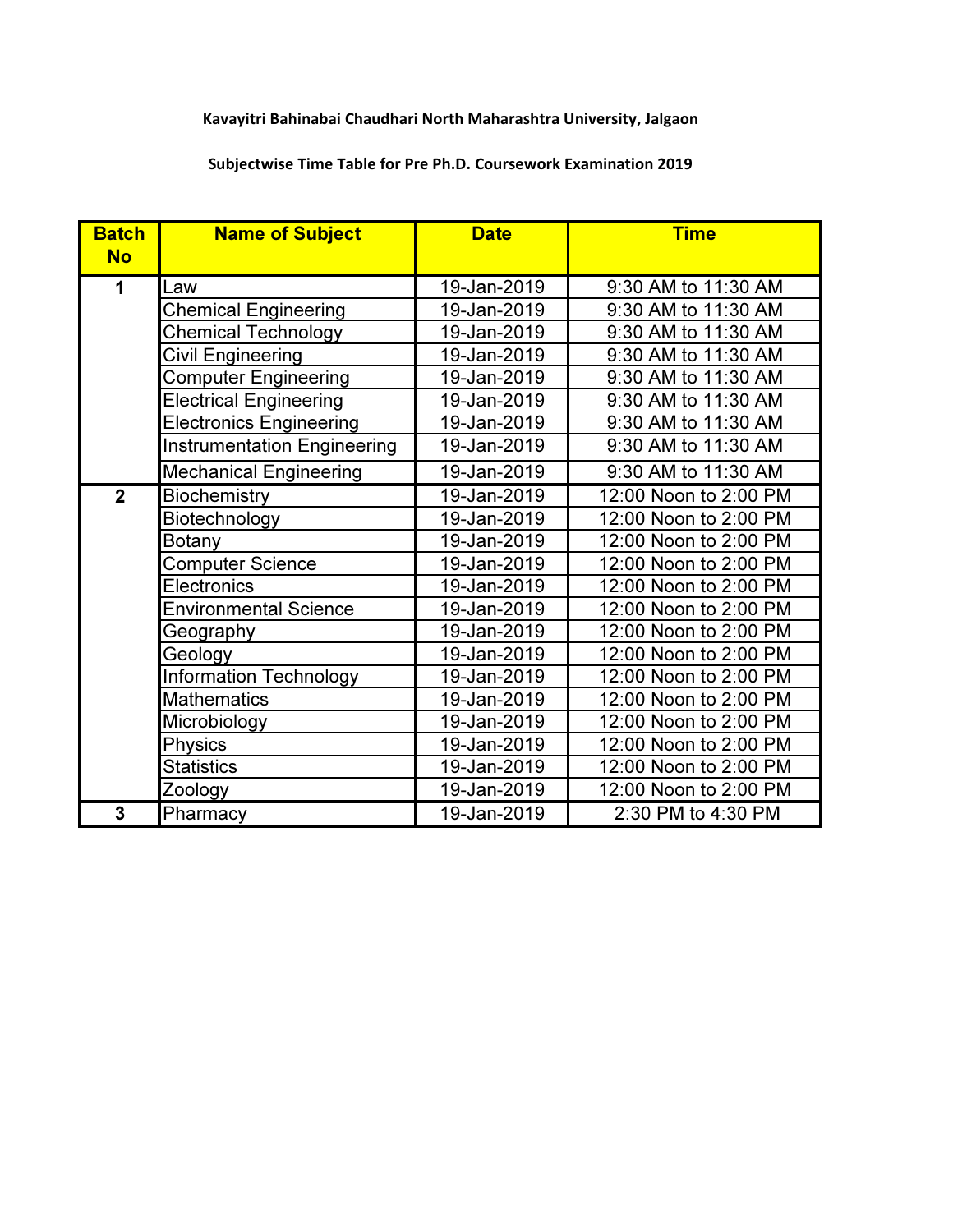## Kavayitri Bahinabai Chaudhari North Maharashtra University, Jalgaon

## Subjectwise Time Table for Pre Ph.D. Coursework Examination 2019

| <b>Batch</b><br><b>No</b> | <b>Name of Subject</b>             | <b>Date</b> | <b>Time</b>           |
|---------------------------|------------------------------------|-------------|-----------------------|
|                           |                                    |             |                       |
| 1                         | Law                                | 19-Jan-2019 | 9:30 AM to 11:30 AM   |
|                           | <b>Chemical Engineering</b>        | 19-Jan-2019 | 9:30 AM to 11:30 AM   |
|                           | <b>Chemical Technology</b>         | 19-Jan-2019 | 9:30 AM to 11:30 AM   |
|                           | Civil Engineering                  | 19-Jan-2019 | 9:30 AM to 11:30 AM   |
|                           | <b>Computer Engineering</b>        | 19-Jan-2019 | 9:30 AM to 11:30 AM   |
|                           | <b>Electrical Engineering</b>      | 19-Jan-2019 | 9:30 AM to 11:30 AM   |
|                           | <b>Electronics Engineering</b>     | 19-Jan-2019 | 9:30 AM to 11:30 AM   |
|                           | <b>Instrumentation Engineering</b> | 19-Jan-2019 | 9:30 AM to 11:30 AM   |
|                           | <b>Mechanical Engineering</b>      | 19-Jan-2019 | 9:30 AM to 11:30 AM   |
| $\overline{2}$            | <b>Biochemistry</b>                | 19-Jan-2019 | 12:00 Noon to 2:00 PM |
|                           | Biotechnology                      | 19-Jan-2019 | 12:00 Noon to 2:00 PM |
|                           | <b>Botany</b>                      | 19-Jan-2019 | 12:00 Noon to 2:00 PM |
|                           | <b>Computer Science</b>            | 19-Jan-2019 | 12:00 Noon to 2:00 PM |
|                           | <b>Electronics</b>                 | 19-Jan-2019 | 12:00 Noon to 2:00 PM |
|                           | <b>Environmental Science</b>       | 19-Jan-2019 | 12:00 Noon to 2:00 PM |
|                           | Geography                          | 19-Jan-2019 | 12:00 Noon to 2:00 PM |
|                           | Geology                            | 19-Jan-2019 | 12:00 Noon to 2:00 PM |
|                           | <b>Information Technology</b>      | 19-Jan-2019 | 12:00 Noon to 2:00 PM |
|                           | <b>Mathematics</b>                 | 19-Jan-2019 | 12:00 Noon to 2:00 PM |
|                           | Microbiology                       | 19-Jan-2019 | 12:00 Noon to 2:00 PM |
|                           | Physics                            | 19-Jan-2019 | 12:00 Noon to 2:00 PM |
|                           | <b>Statistics</b>                  | 19-Jan-2019 | 12:00 Noon to 2:00 PM |
|                           | Zoology                            | 19-Jan-2019 | 12:00 Noon to 2:00 PM |
| 3                         | Pharmacy                           | 19-Jan-2019 | 2:30 PM to 4:30 PM    |